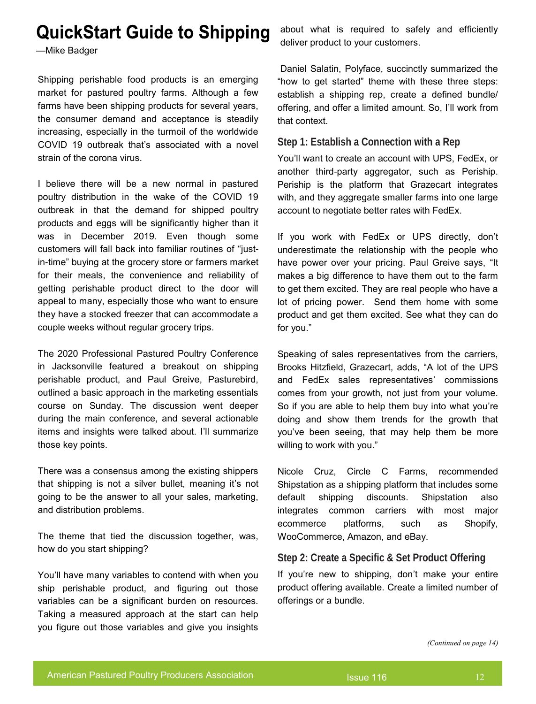# **QuickStart Guide to Shipping**

—Mike Badger

Shipping perishable food products is an emerging market for pastured poultry farms. Although a few farms have been shipping products for several years, the consumer demand and acceptance is steadily increasing, especially in the turmoil of the worldwide COVID 19 outbreak that's associated with a novel strain of the corona virus.

I believe there will be a new normal in pastured poultry distribution in the wake of the COVID 19 outbreak in that the demand for shipped poultry products and eggs will be significantly higher than it was in December 2019. Even though some customers will fall back into familiar routines of "justin-time" buying at the grocery store or farmers market for their meals, the convenience and reliability of getting perishable product direct to the door will appeal to many, especially those who want to ensure they have a stocked freezer that can accommodate a couple weeks without regular grocery trips.

The 2020 Professional Pastured Poultry Conference in Jacksonville featured a breakout on shipping perishable product, and Paul Greive, Pasturebird, outlined a basic approach in the marketing essentials course on Sunday. The discussion went deeper during the main conference, and several actionable items and insights were talked about. I'll summarize those key points.

There was a consensus among the existing shippers that shipping is not a silver bullet, meaning it's not going to be the answer to all your sales, marketing, and distribution problems.

The theme that tied the discussion together, was, how do you start shipping?

You'll have many variables to contend with when you ship perishable product, and figuring out those variables can be a significant burden on resources. Taking a measured approach at the start can help you figure out those variables and give you insights

about what is required to safely and efficiently deliver product to your customers.

Daniel Salatin, Polyface, succinctly summarized the "how to get started" theme with these three steps: establish a shipping rep, create a defined bundle/ offering, and offer a limited amount. So, I'll work from that context.

## **Step 1: Establish a Connection with a Rep**

You'll want to create an account with UPS, FedEx, or another third-party aggregator, such as Periship. Periship is the platform that Grazecart integrates with, and they aggregate smaller farms into one large account to negotiate better rates with FedEx.

If you work with FedEx or UPS directly, don't underestimate the relationship with the people who have power over your pricing. Paul Greive says, "It makes a big difference to have them out to the farm to get them excited. They are real people who have a lot of pricing power. Send them home with some product and get them excited. See what they can do for you."

Speaking of sales representatives from the carriers, Brooks Hitzfield, Grazecart, adds, "A lot of the UPS and FedEx sales representatives' commissions comes from your growth, not just from your volume. So if you are able to help them buy into what you're doing and show them trends for the growth that you've been seeing, that may help them be more willing to work with you."

Nicole Cruz, Circle C Farms, recommended Shipstation as a shipping platform that includes some default shipping discounts. Shipstation also integrates common carriers with most major ecommerce platforms, such as Shopify, WooCommerce, Amazon, and eBay.

# **Step 2: Create a Specific & Set Product Offering**

If you're new to shipping, don't make your entire product offering available. Create a limited number of offerings or a bundle.

*(Continued on page 14)*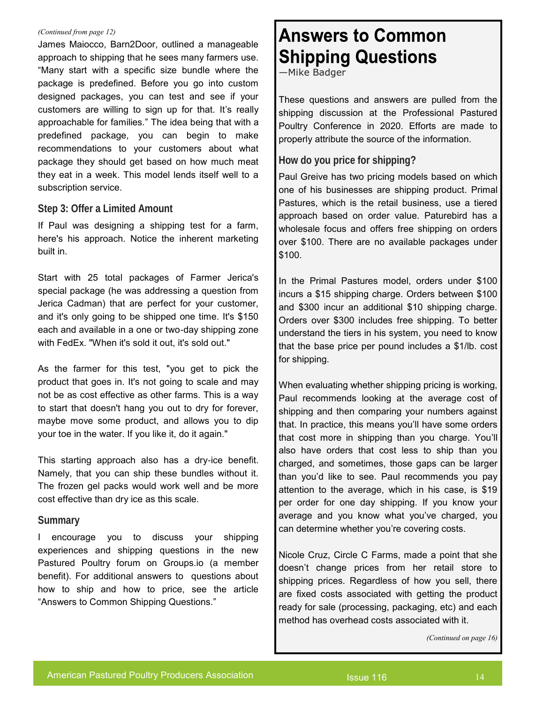### *(Continued from page 12)*

James Maiocco, Barn2Door, outlined a manageable approach to shipping that he sees many farmers use. "Many start with a specific size bundle where the package is predefined. Before you go into custom designed packages, you can test and see if your customers are willing to sign up for that. It's really approachable for families." The idea being that with a predefined package, you can begin to make recommendations to your customers about what package they should get based on how much meat they eat in a week. This model lends itself well to a subscription service.

## **Step 3: Offer a Limited Amount**

If Paul was designing a shipping test for a farm, here's his approach. Notice the inherent marketing built in.

Start with 25 total packages of Farmer Jerica's special package (he was addressing a question from Jerica Cadman) that are perfect for your customer, and it's only going to be shipped one time. It's \$150 each and available in a one or two-day shipping zone with FedEx. "When it's sold it out, it's sold out."

As the farmer for this test, "you get to pick the product that goes in. It's not going to scale and may not be as cost effective as other farms. This is a way to start that doesn't hang you out to dry for forever, maybe move some product, and allows you to dip your toe in the water. If you like it, do it again."

This starting approach also has a dry-ice benefit. Namely, that you can ship these bundles without it. The frozen gel packs would work well and be more cost effective than dry ice as this scale.

## **Summary**

I encourage you to discuss your shipping experiences and shipping questions in the new Pastured Poultry forum on Groups.io (a member benefit). For additional answers to questions about how to ship and how to price, see the article "Answers to Common Shipping Questions."

# **Answers to Common Shipping Questions**

—Mike Badger

These questions and answers are pulled from the shipping discussion at the Professional Pastured Poultry Conference in 2020. Efforts are made to properly attribute the source of the information.

# **How do you price for shipping?**

Paul Greive has two pricing models based on which one of his businesses are shipping product. Primal Pastures, which is the retail business, use a tiered approach based on order value. Paturebird has a wholesale focus and offers free shipping on orders over \$100. There are no available packages under \$100.

In the Primal Pastures model, orders under \$100 incurs a \$15 shipping charge. Orders between \$100 and \$300 incur an additional \$10 shipping charge. Orders over \$300 includes free shipping. To better understand the tiers in his system, you need to know that the base price per pound includes a \$1/lb. cost for shipping.

When evaluating whether shipping pricing is working, Paul recommends looking at the average cost of shipping and then comparing your numbers against that. In practice, this means you'll have some orders that cost more in shipping than you charge. You'll also have orders that cost less to ship than you charged, and sometimes, those gaps can be larger than you'd like to see. Paul recommends you pay attention to the average, which in his case, is \$19 per order for one day shipping. If you know your average and you know what you've charged, you can determine whether you're covering costs.

Nicole Cruz, Circle C Farms, made a point that she doesn't change prices from her retail store to shipping prices. Regardless of how you sell, there are fixed costs associated with getting the product ready for sale (processing, packaging, etc) and each method has overhead costs associated with it.

*(Continued on page 16)*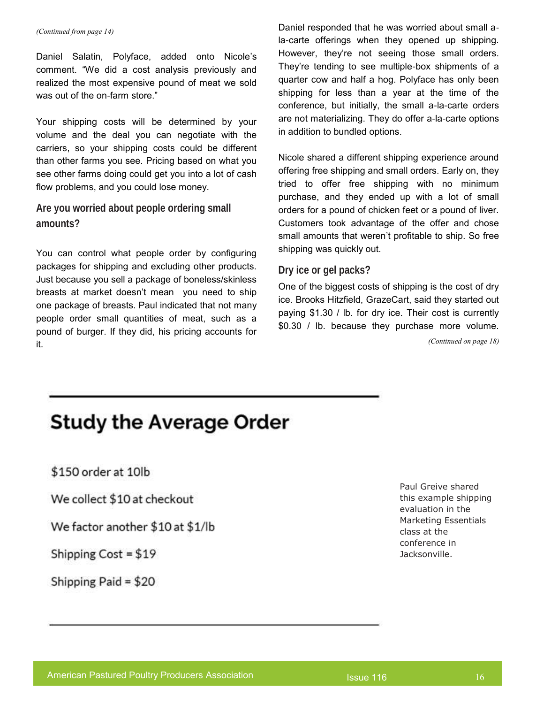Daniel Salatin, Polyface, added onto Nicole's comment. "We did a cost analysis previously and realized the most expensive pound of meat we sold was out of the on-farm store."

Your shipping costs will be determined by your volume and the deal you can negotiate with the carriers, so your shipping costs could be different than other farms you see. Pricing based on what you see other farms doing could get you into a lot of cash flow problems, and you could lose money.

**Are you worried about people ordering small amounts?** 

You can control what people order by configuring packages for shipping and excluding other products. Just because you sell a package of boneless/skinless breasts at market doesn't mean you need to ship one package of breasts. Paul indicated that not many people order small quantities of meat, such as a pound of burger. If they did, his pricing accounts for it.

*(Continued from page 14)* Daniel responded that he was worried about small ala-carte offerings when they opened up shipping. However, they're not seeing those small orders. They're tending to see multiple-box shipments of a quarter cow and half a hog. Polyface has only been shipping for less than a year at the time of the conference, but initially, the small a-la-carte orders are not materializing. They do offer a-la-carte options in addition to bundled options.

> Nicole shared a different shipping experience around offering free shipping and small orders. Early on, they tried to offer free shipping with no minimum purchase, and they ended up with a lot of small orders for a pound of chicken feet or a pound of liver. Customers took advantage of the offer and chose small amounts that weren't profitable to ship. So free shipping was quickly out.

## **Dry ice or gel packs?**

One of the biggest costs of shipping is the cost of dry ice. Brooks Hitzfield, GrazeCart, said they started out paying \$1.30 / lb. for dry ice. Their cost is currently \$0.30 / lb. because they purchase more volume.

*(Continued on page 18)*

# **Study the Average Order**

\$150 order at 10lb

We collect \$10 at checkout

We factor another \$10 at \$1/lb

Shipping  $Cost = $19$ 

Shipping Paid =  $$20$ 

Paul Greive shared this example shipping evaluation in the Marketing Essentials class at the conference in Jacksonville.